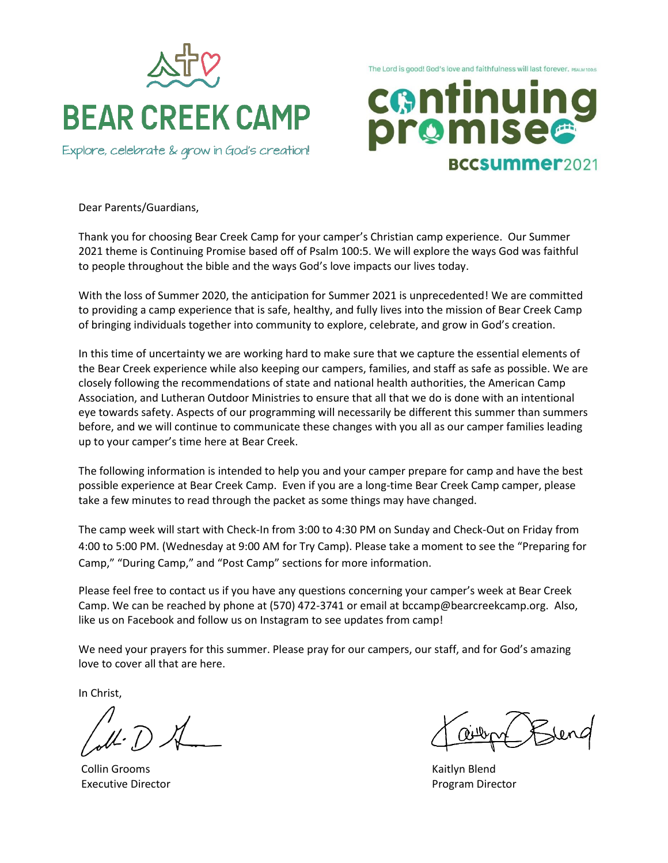

Explore, celebrate & grow in God's creation!

The Lord is good! God's love and faithfulness will last forever. PSALM 100:5



Dear Parents/Guardians,

Thank you for choosing Bear Creek Camp for your camper's Christian camp experience. Our Summer 2021 theme is Continuing Promise based off of Psalm 100:5. We will explore the ways God was faithful to people throughout the bible and the ways God's love impacts our lives today.

With the loss of Summer 2020, the anticipation for Summer 2021 is unprecedented! We are committed to providing a camp experience that is safe, healthy, and fully lives into the mission of Bear Creek Camp of bringing individuals together into community to explore, celebrate, and grow in God's creation.

In this time of uncertainty we are working hard to make sure that we capture the essential elements of the Bear Creek experience while also keeping our campers, families, and staff as safe as possible. We are closely following the recommendations of state and national health authorities, the American Camp Association, and Lutheran Outdoor Ministries to ensure that all that we do is done with an intentional eye towards safety. Aspects of our programming will necessarily be different this summer than summers before, and we will continue to communicate these changes with you all as our camper families leading up to your camper's time here at Bear Creek.

The following information is intended to help you and your camper prepare for camp and have the best possible experience at Bear Creek Camp. Even if you are a long-time Bear Creek Camp camper, please take a few minutes to read through the packet as some things may have changed.

The camp week will start with Check-In from 3:00 to 4:30 PM on Sunday and Check-Out on Friday from 4:00 to 5:00 PM. (Wednesday at 9:00 AM for Try Camp). Please take a moment to see the "Preparing for Camp," "During Camp," and "Post Camp" sections for more information.

Please feel free to contact us if you have any questions concerning your camper's week at Bear Creek Camp. We can be reached by phone at (570) 472-3741 or email at bccamp@bearcreekcamp.org. Also, like us on Facebook and follow us on Instagram to see updates from camp!

We need your prayers for this summer. Please pray for our campers, our staff, and for God's amazing love to cover all that are here.

In Christ,

Collin Grooms **Kaitlyn Blend Kaitlyn Blend** Executive Director **Program Director Program Director**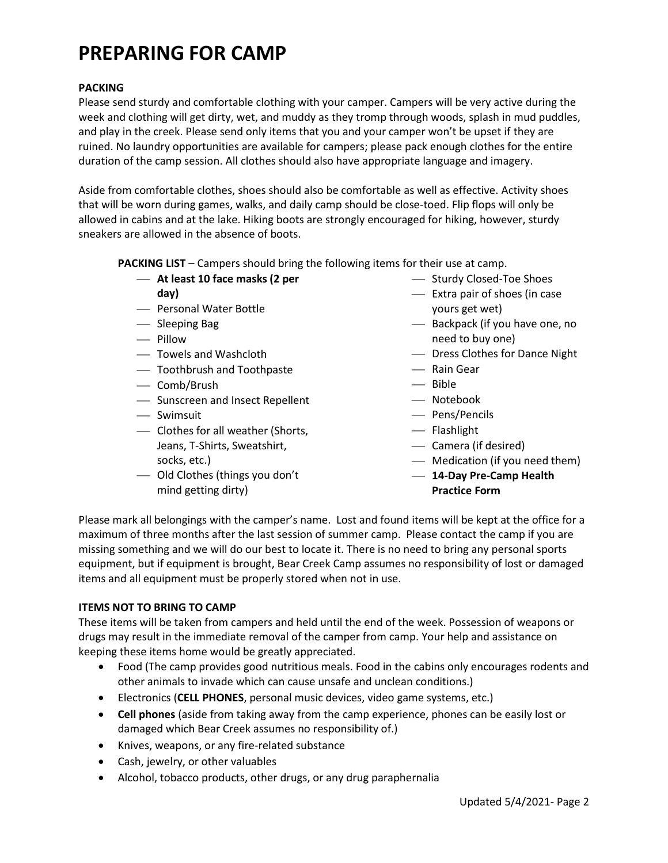# **PREPARING FOR CAMP**

## **PACKING**

Please send sturdy and comfortable clothing with your camper. Campers will be very active during the week and clothing will get dirty, wet, and muddy as they tromp through woods, splash in mud puddles, and play in the creek. Please send only items that you and your camper won't be upset if they are ruined. No laundry opportunities are available for campers; please pack enough clothes for the entire duration of the camp session. All clothes should also have appropriate language and imagery.

Aside from comfortable clothes, shoes should also be comfortable as well as effective. Activity shoes that will be worn during games, walks, and daily camp should be close-toed. Flip flops will only be allowed in cabins and at the lake. Hiking boots are strongly encouraged for hiking, however, sturdy sneakers are allowed in the absence of boots.

**PACKING LIST** – Campers should bring the following items for their use at camp.

- **At least 10 face masks (2 per day)**
- Personal Water Bottle
- Sleeping Bag
- Pillow
- Towels and Washcloth
- Toothbrush and Toothpaste
- Comb/Brush
- Sunscreen and Insect Repellent
- Swimsuit
- Clothes for all weather (Shorts, Jeans, T-Shirts, Sweatshirt, socks, etc.)
- Old Clothes (things you don't mind getting dirty)
- Sturdy Closed-Toe Shoes
- Extra pair of shoes (in case yours get wet)
- Backpack (if you have one, no need to buy one)
- Dress Clothes for Dance Night
- Rain Gear
- Bible
- Notebook
- Pens/Pencils
- $-$  Flashlight
- Camera (if desired)
- Medication (if you need them)
- **14-Day Pre-Camp Health Practice Form**

Please mark all belongings with the camper's name. Lost and found items will be kept at the office for a maximum of three months after the last session of summer camp. Please contact the camp if you are missing something and we will do our best to locate it. There is no need to bring any personal sports equipment, but if equipment is brought, Bear Creek Camp assumes no responsibility of lost or damaged items and all equipment must be properly stored when not in use.

## **ITEMS NOT TO BRING TO CAMP**

These items will be taken from campers and held until the end of the week. Possession of weapons or drugs may result in the immediate removal of the camper from camp. Your help and assistance on keeping these items home would be greatly appreciated.

- Food (The camp provides good nutritious meals. Food in the cabins only encourages rodents and other animals to invade which can cause unsafe and unclean conditions.)
- Electronics (**CELL PHONES**, personal music devices, video game systems, etc.)
- **Cell phones** (aside from taking away from the camp experience, phones can be easily lost or damaged which Bear Creek assumes no responsibility of.)
- Knives, weapons, or any fire-related substance
- Cash, jewelry, or other valuables
- Alcohol, tobacco products, other drugs, or any drug paraphernalia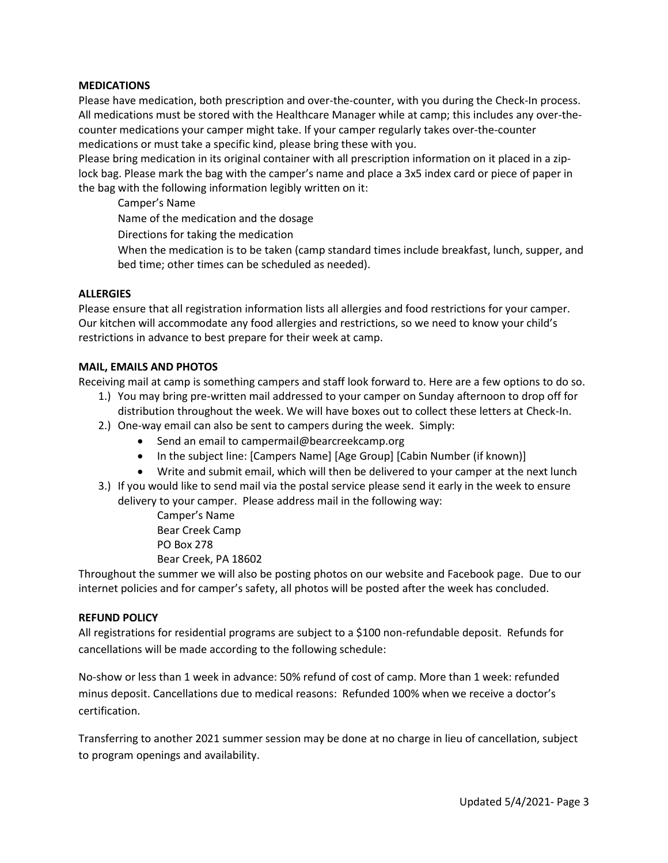#### **MEDICATIONS**

Please have medication, both prescription and over-the-counter, with you during the Check-In process. All medications must be stored with the Healthcare Manager while at camp; this includes any over-thecounter medications your camper might take. If your camper regularly takes over-the-counter medications or must take a specific kind, please bring these with you.

Please bring medication in its original container with all prescription information on it placed in a ziplock bag. Please mark the bag with the camper's name and place a 3x5 index card or piece of paper in the bag with the following information legibly written on it:

Camper's Name

Name of the medication and the dosage

Directions for taking the medication

When the medication is to be taken (camp standard times include breakfast, lunch, supper, and bed time; other times can be scheduled as needed).

#### **ALLERGIES**

Please ensure that all registration information lists all allergies and food restrictions for your camper. Our kitchen will accommodate any food allergies and restrictions, so we need to know your child's restrictions in advance to best prepare for their week at camp.

#### **MAIL, EMAILS AND PHOTOS**

Receiving mail at camp is something campers and staff look forward to. Here are a few options to do so.

- 1.) You may bring pre-written mail addressed to your camper on Sunday afternoon to drop off for distribution throughout the week. We will have boxes out to collect these letters at Check-In.
- 2.) One-way email can also be sent to campers during the week. Simply:
	- Send an email to campermail@bearcreekcamp.org
	- In the subject line: [Campers Name] [Age Group] [Cabin Number (if known)]
	- Write and submit email, which will then be delivered to your camper at the next lunch
- 3.) If you would like to send mail via the postal service please send it early in the week to ensure delivery to your camper. Please address mail in the following way:
	- Camper's Name Bear Creek Camp PO Box 278
	- Bear Creek, PA 18602

Throughout the summer we will also be posting photos on our website and Facebook page. Due to our internet policies and for camper's safety, all photos will be posted after the week has concluded.

#### **REFUND POLICY**

All registrations for residential programs are subject to a \$100 non-refundable deposit. Refunds for cancellations will be made according to the following schedule:

No-show or less than 1 week in advance: 50% refund of cost of camp. More than 1 week: refunded minus deposit. Cancellations due to medical reasons: Refunded 100% when we receive a doctor's certification.

Transferring to another 2021 summer session may be done at no charge in lieu of cancellation, subject to program openings and availability.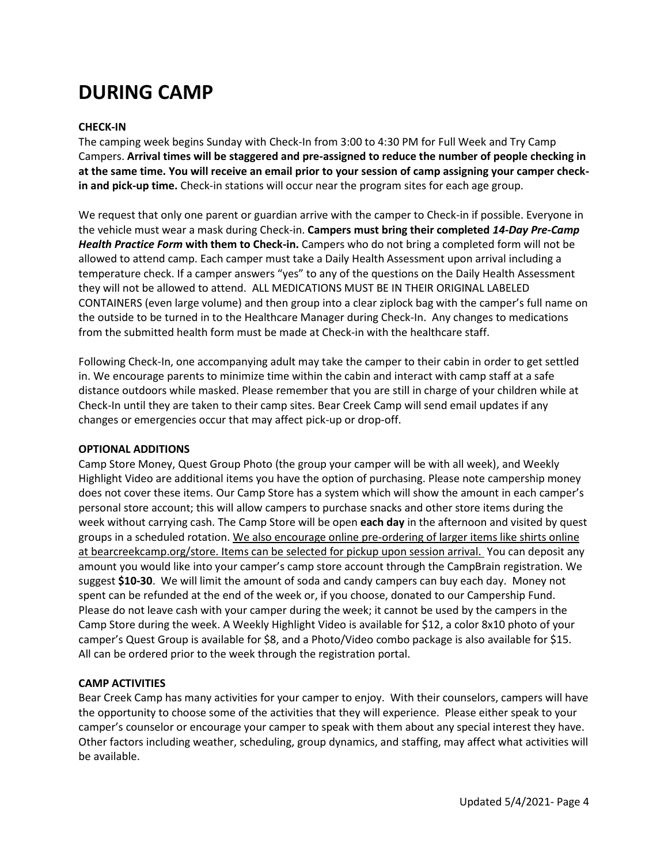# **DURING CAMP**

## **CHECK-IN**

The camping week begins Sunday with Check-In from 3:00 to 4:30 PM for Full Week and Try Camp Campers. **Arrival times will be staggered and pre-assigned to reduce the number of people checking in at the same time. You will receive an email prior to your session of camp assigning your camper checkin and pick-up time.** Check-in stations will occur near the program sites for each age group.

We request that only one parent or guardian arrive with the camper to Check-in if possible. Everyone in the vehicle must wear a mask during Check-in. **Campers must bring their completed** *14-Day Pre-Camp Health Practice Form* **with them to Check-in.** Campers who do not bring a completed form will not be allowed to attend camp. Each camper must take a Daily Health Assessment upon arrival including a temperature check. If a camper answers "yes" to any of the questions on the Daily Health Assessment they will not be allowed to attend. ALL MEDICATIONS MUST BE IN THEIR ORIGINAL LABELED CONTAINERS (even large volume) and then group into a clear ziplock bag with the camper's full name on the outside to be turned in to the Healthcare Manager during Check-In. Any changes to medications from the submitted health form must be made at Check-in with the healthcare staff.

Following Check-In, one accompanying adult may take the camper to their cabin in order to get settled in. We encourage parents to minimize time within the cabin and interact with camp staff at a safe distance outdoors while masked. Please remember that you are still in charge of your children while at Check-In until they are taken to their camp sites. Bear Creek Camp will send email updates if any changes or emergencies occur that may affect pick-up or drop-off.

#### **OPTIONAL ADDITIONS**

Camp Store Money, Quest Group Photo (the group your camper will be with all week), and Weekly Highlight Video are additional items you have the option of purchasing. Please note campership money does not cover these items. Our Camp Store has a system which will show the amount in each camper's personal store account; this will allow campers to purchase snacks and other store items during the week without carrying cash. The Camp Store will be open **each day** in the afternoon and visited by quest groups in a scheduled rotation. We also encourage online pre-ordering of larger items like shirts online at bearcreekcamp.org/store. Items can be selected for pickup upon session arrival. You can deposit any amount you would like into your camper's camp store account through the CampBrain registration. We suggest **\$10-30**. We will limit the amount of soda and candy campers can buy each day. Money not spent can be refunded at the end of the week or, if you choose, donated to our Campership Fund. Please do not leave cash with your camper during the week; it cannot be used by the campers in the Camp Store during the week. A Weekly Highlight Video is available for \$12, a color 8x10 photo of your camper's Quest Group is available for \$8, and a Photo/Video combo package is also available for \$15. All can be ordered prior to the week through the registration portal.

## **CAMP ACTIVITIES**

Bear Creek Camp has many activities for your camper to enjoy. With their counselors, campers will have the opportunity to choose some of the activities that they will experience. Please either speak to your camper's counselor or encourage your camper to speak with them about any special interest they have. Other factors including weather, scheduling, group dynamics, and staffing, may affect what activities will be available.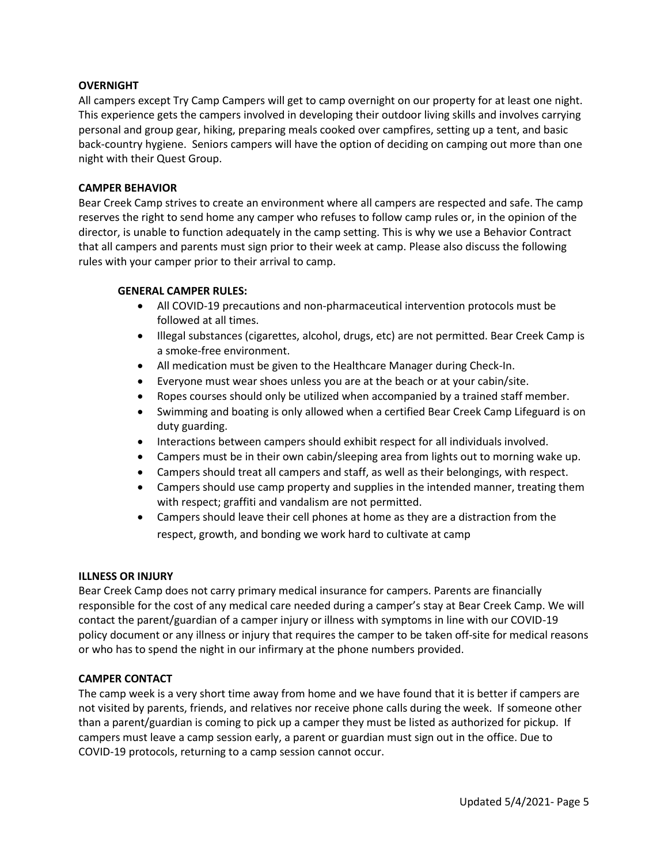## **OVERNIGHT**

All campers except Try Camp Campers will get to camp overnight on our property for at least one night. This experience gets the campers involved in developing their outdoor living skills and involves carrying personal and group gear, hiking, preparing meals cooked over campfires, setting up a tent, and basic back-country hygiene. Seniors campers will have the option of deciding on camping out more than one night with their Quest Group.

#### **CAMPER BEHAVIOR**

Bear Creek Camp strives to create an environment where all campers are respected and safe. The camp reserves the right to send home any camper who refuses to follow camp rules or, in the opinion of the director, is unable to function adequately in the camp setting. This is why we use a Behavior Contract that all campers and parents must sign prior to their week at camp. Please also discuss the following rules with your camper prior to their arrival to camp.

#### **GENERAL CAMPER RULES:**

- All COVID-19 precautions and non-pharmaceutical intervention protocols must be followed at all times.
- Illegal substances (cigarettes, alcohol, drugs, etc) are not permitted. Bear Creek Camp is a smoke-free environment.
- All medication must be given to the Healthcare Manager during Check-In.
- Everyone must wear shoes unless you are at the beach or at your cabin/site.
- Ropes courses should only be utilized when accompanied by a trained staff member.
- Swimming and boating is only allowed when a certified Bear Creek Camp Lifeguard is on duty guarding.
- Interactions between campers should exhibit respect for all individuals involved.
- Campers must be in their own cabin/sleeping area from lights out to morning wake up.
- Campers should treat all campers and staff, as well as their belongings, with respect.
- Campers should use camp property and supplies in the intended manner, treating them with respect; graffiti and vandalism are not permitted.
- Campers should leave their cell phones at home as they are a distraction from the respect, growth, and bonding we work hard to cultivate at camp

## **ILLNESS OR INJURY**

Bear Creek Camp does not carry primary medical insurance for campers. Parents are financially responsible for the cost of any medical care needed during a camper's stay at Bear Creek Camp. We will contact the parent/guardian of a camper injury or illness with symptoms in line with our COVID-19 policy document or any illness or injury that requires the camper to be taken off-site for medical reasons or who has to spend the night in our infirmary at the phone numbers provided.

## **CAMPER CONTACT**

The camp week is a very short time away from home and we have found that it is better if campers are not visited by parents, friends, and relatives nor receive phone calls during the week. If someone other than a parent/guardian is coming to pick up a camper they must be listed as authorized for pickup. If campers must leave a camp session early, a parent or guardian must sign out in the office. Due to COVID-19 protocols, returning to a camp session cannot occur.